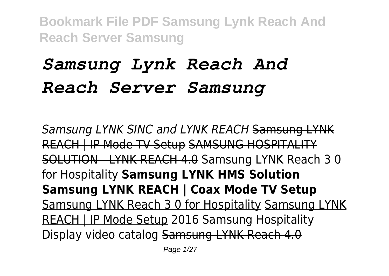# *Samsung Lynk Reach And Reach Server Samsung*

*Samsung LYNK SINC and LYNK REACH* Samsung LYNK REACH | IP Mode TV Setup SAMSUNG HOSPITALITY SOLUTION - LYNK REACH 4.0 Samsung LYNK Reach 3 0 for Hospitality **Samsung LYNK HMS Solution Samsung LYNK REACH | Coax Mode TV Setup** Samsung LYNK Reach 3 0 for Hospitality Samsung LYNK REACH | IP Mode Setup 2016 Samsung Hospitality Display video catalog Samsung LYNK Reach 4.0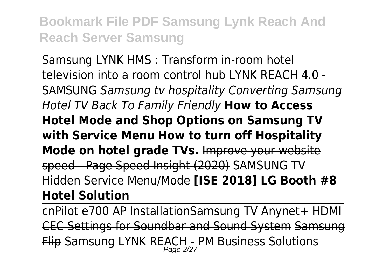Samsung LYNK HMS : Transform in-room hotel television into a room control hub LYNK REACH 4.0 - SAMSUNG *Samsung tv hospitality Converting Samsung Hotel TV Back To Family Friendly* **How to Access Hotel Mode and Shop Options on Samsung TV with Service Menu How to turn off Hospitality Mode on hotel grade TVs.** Improve your website speed - Page Speed Insight (2020) SAMSUNG TV Hidden Service Menu/Mode **[ISE 2018] LG Booth #8 Hotel Solution**

cnPilot e700 AP InstallationSamsung TV Anynet+ HDMI CEC Settings for Soundbar and Sound System Samsung <del>Flip</del> Samsung LYNK REACH - PM Business Solutions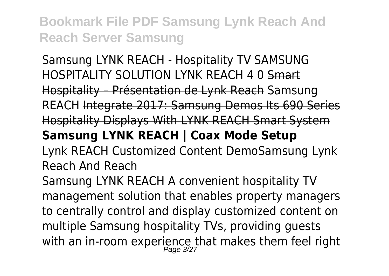#### Samsung LYNK REACH - Hospitality TV SAMSUNG HOSPITALITY SOLUTION LYNK REACH 4 0 Smart Hospitality – Présentation de Lynk Reach Samsung

REACH Integrate 2017: Samsung Demos Its 690 Series Hospitality Displays With LYNK REACH Smart System

# **Samsung LYNK REACH | Coax Mode Setup**

Lynk REACH Customized Content DemoSamsung Lynk Reach And Reach

Samsung LYNK REACH A convenient hospitality TV management solution that enables property managers to centrally control and display customized content on multiple Samsung hospitality TVs, providing guests with an in-room experience that makes them feel right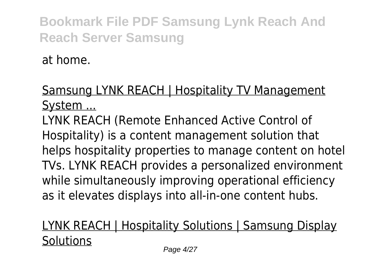at home.

#### Samsung LYNK REACH | Hospitality TV Management System ...

LYNK REACH (Remote Enhanced Active Control of Hospitality) is a content management solution that helps hospitality properties to manage content on hotel TVs. LYNK REACH provides a personalized environment while simultaneously improving operational efficiency as it elevates displays into all-in-one content hubs.

## LYNK REACH | Hospitality Solutions | Samsung Display **Solutions**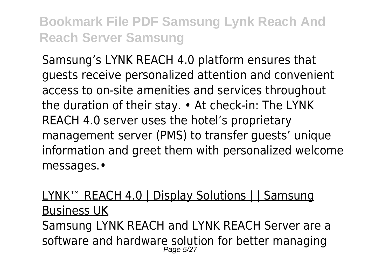Samsung's LYNK REACH 4.0 platform ensures that guests receive personalized attention and convenient access to on-site amenities and services throughout the duration of their stay. • At check-in: The LYNK REACH 4.0 server uses the hotel's proprietary management server (PMS) to transfer guests' unique information and greet them with personalized welcome messages.•

LYNK<sup>™</sup> REACH 4.0 | Display Solutions | | Samsung Business UK Samsung LYNK REACH and LYNK REACH Server are a software and hardware solution for better managing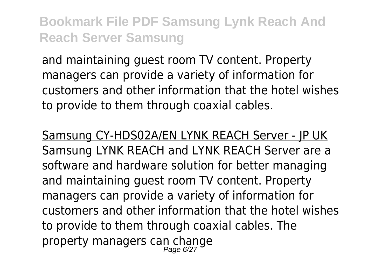and maintaining guest room TV content. Property managers can provide a variety of information for customers and other information that the hotel wishes to provide to them through coaxial cables.

Samsung CY-HDS02A/EN LYNK REACH Server - JP UK Samsung LYNK REACH and LYNK REACH Server are a software and hardware solution for better managing and maintaining guest room TV content. Property managers can provide a variety of information for customers and other information that the hotel wishes to provide to them through coaxial cables. The property managers can change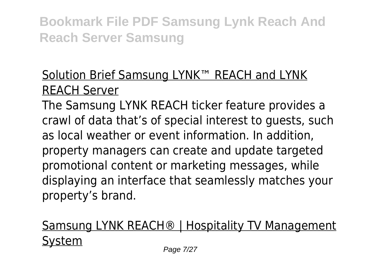## Solution Brief Samsung LYNK™ REACH and LYNK REACH Server

The Samsung LYNK REACH ticker feature provides a crawl of data that's of special interest to guests, such as local weather or event information. In addition, property managers can create and update targeted promotional content or marketing messages, while displaying an interface that seamlessly matches your property's brand.

# Samsung LYNK REACH® | Hospitality TV Management System Page 7/27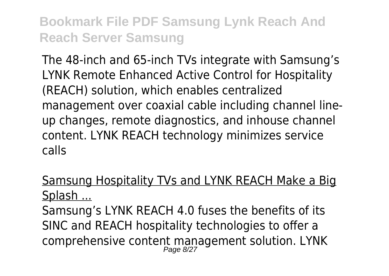The 48-inch and 65-inch TVs integrate with Samsung's LYNK Remote Enhanced Active Control for Hospitality (REACH) solution, which enables centralized management over coaxial cable including channel lineup changes, remote diagnostics, and inhouse channel content. LYNK REACH technology minimizes service calls

#### Samsung Hospitality TVs and LYNK REACH Make a Big Splash ...

Samsung's LYNK REACH 4.0 fuses the benefits of its SINC and REACH hospitality technologies to offer a comprehensive content management solution. LYNK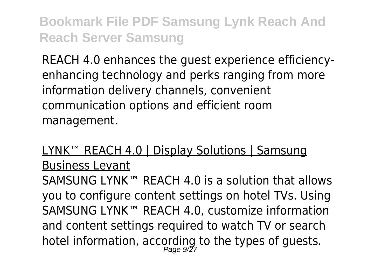REACH 4.0 enhances the guest experience efficiencyenhancing technology and perks ranging from more information delivery channels, convenient communication options and efficient room management.

#### LYNK™ REACH 4.0 | Display Solutions | Samsung Business Levant

SAMSUNG LYNK™ REACH 4.0 is a solution that allows you to configure content settings on hotel TVs. Using SAMSUNG LYNK™ REACH 4.0, customize information and content settings required to watch TV or search hotel information, according to the types of guests.<br>Page 9/27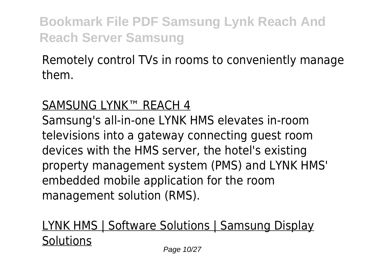#### Remotely control TVs in rooms to conveniently manage them.

#### SAMSUNG LYNK™ REACH 4

Samsung's all-in-one LYNK HMS elevates in-room televisions into a gateway connecting guest room devices with the HMS server, the hotel's existing property management system (PMS) and LYNK HMS' embedded mobile application for the room management solution (RMS).

## LYNK HMS | Software Solutions | Samsung Display **Solutions**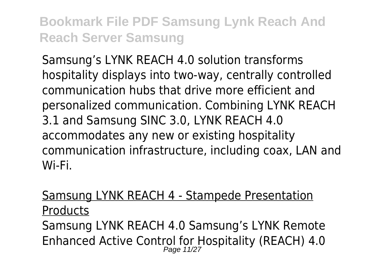Samsung's LYNK REACH 4.0 solution transforms hospitality displays into two-way, centrally controlled communication hubs that drive more efficient and personalized communication. Combining LYNK REACH 3.1 and Samsung SINC 3.0, LYNK REACH 4.0 accommodates any new or existing hospitality communication infrastructure, including coax, LAN and Wi-Fi.

## Samsung LYNK REACH 4 - Stampede Presentation **Products** Samsung LYNK REACH 4.0 Samsung's LYNK Remote Enhanced Active Control for Hospitality (REACH) 4.0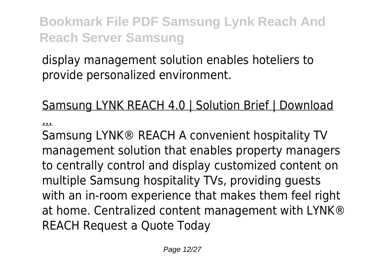display management solution enables hoteliers to provide personalized environment.

#### Samsung LYNK REACH 4.0 | Solution Brief | Download

...

Samsung LYNK® REACH A convenient hospitality TV management solution that enables property managers to centrally control and display customized content on multiple Samsung hospitality TVs, providing guests with an in-room experience that makes them feel right at home. Centralized content management with LYNK® REACH Request a Quote Today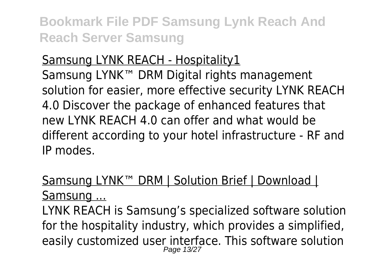#### Samsung LYNK REACH - Hospitality1

Samsung LYNK™ DRM Digital rights management solution for easier, more effective security LYNK REACH 4.0 Discover the package of enhanced features that new LYNK REACH 4.0 can offer and what would be different according to your hotel infrastructure - RF and IP modes.

#### Samsung LYNK™ DRM | Solution Brief | Download | Samsung ...

LYNK REACH is Samsung's specialized software solution for the hospitality industry, which provides a simplified, easily customized user interface. This software solution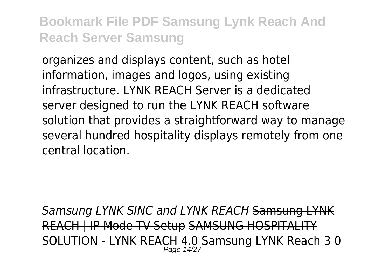organizes and displays content, such as hotel information, images and logos, using existing infrastructure. LYNK REACH Server is a dedicated server designed to run the LYNK REACH software solution that provides a straightforward way to manage several hundred hospitality displays remotely from one central location.

*Samsung LYNK SINC and LYNK REACH* Samsung LYNK REACH | IP Mode TV Setup SAMSUNG HOSPITALITY SOLUTION - LYNK REACH 4.0 Samsung LYNK Reach 3 0 Page 14/2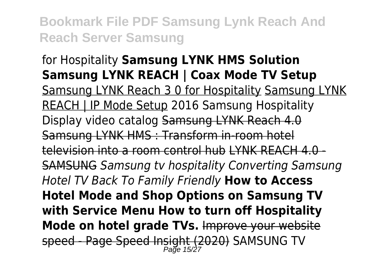## for Hospitality **Samsung LYNK HMS Solution Samsung LYNK REACH | Coax Mode TV Setup** Samsung LYNK Reach 3 0 for Hospitality Samsung LYNK REACH | IP Mode Setup 2016 Samsung Hospitality Display video catalog Samsung LYNK Reach 4.0 Samsung LYNK HMS : Transform in-room hotel television into a room control hub LYNK REACH 4.0 - SAMSUNG *Samsung tv hospitality Converting Samsung Hotel TV Back To Family Friendly* **How to Access Hotel Mode and Shop Options on Samsung TV with Service Menu How to turn off Hospitality Mode on hotel grade TVs.** Improve your website s<del>peed - Page Speed Insight (2020)</del> SAMSUNG TV<br>Page 15/27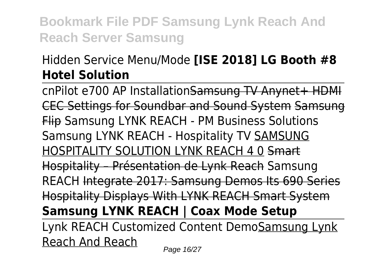## Hidden Service Menu/Mode **[ISE 2018] LG Booth #8 Hotel Solution**

cnPilot e700 AP InstallationSamsung TV Anynet+ HDMI CEC Settings for Soundbar and Sound System Samsung Flip Samsung LYNK REACH - PM Business Solutions Samsung LYNK REACH - Hospitality TV SAMSUNG HOSPITALITY SOLUTION LYNK REACH 4 0 Smart Hospitality – Présentation de Lynk Reach Samsung REACH Integrate 2017: Samsung Demos Its 690 Series Hospitality Displays With LYNK REACH Smart System **Samsung LYNK REACH | Coax Mode Setup** Lynk REACH Customized Content DemoSamsung Lynk Reach And Reach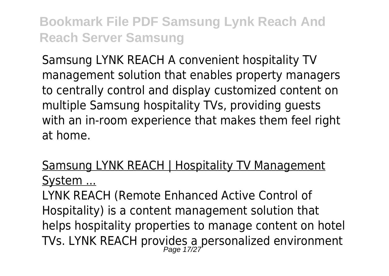Samsung LYNK REACH A convenient hospitality TV management solution that enables property managers to centrally control and display customized content on multiple Samsung hospitality TVs, providing guests with an in-room experience that makes them feel right at home.

#### Samsung LYNK REACH | Hospitality TV Management System ...

LYNK REACH (Remote Enhanced Active Control of Hospitality) is a content management solution that helps hospitality properties to manage content on hotel TVs. LYNK REACH provides a personalized environment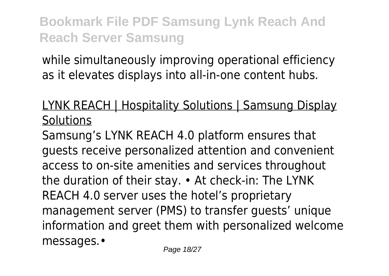while simultaneously improving operational efficiency as it elevates displays into all-in-one content hubs.

#### LYNK REACH | Hospitality Solutions | Samsung Display **Solutions**

Samsung's LYNK REACH 4.0 platform ensures that guests receive personalized attention and convenient access to on-site amenities and services throughout the duration of their stay. • At check-in: The LYNK REACH 4.0 server uses the hotel's proprietary management server (PMS) to transfer guests' unique information and greet them with personalized welcome messages.•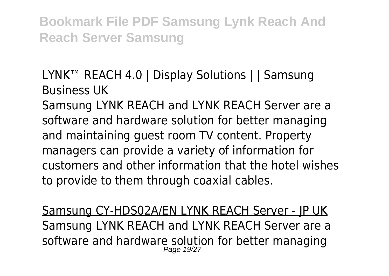#### LYNK™ REACH 4.0 | Display Solutions | | Samsung Business UK

Samsung LYNK REACH and LYNK REACH Server are a software and hardware solution for better managing and maintaining guest room TV content. Property managers can provide a variety of information for customers and other information that the hotel wishes to provide to them through coaxial cables.

Samsung CY-HDS02A/EN LYNK REACH Server - JP UK Samsung LYNK REACH and LYNK REACH Server are a software and hardware solution for better managing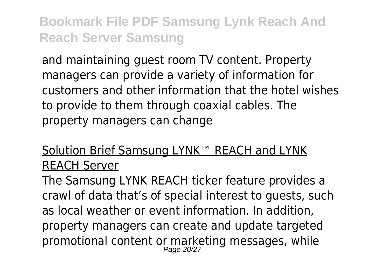and maintaining guest room TV content. Property managers can provide a variety of information for customers and other information that the hotel wishes to provide to them through coaxial cables. The property managers can change

#### Solution Brief Samsung LYNK™ REACH and LYNK REACH Server

The Samsung LYNK REACH ticker feature provides a crawl of data that's of special interest to guests, such as local weather or event information. In addition, property managers can create and update targeted promotional content or marketing messages, while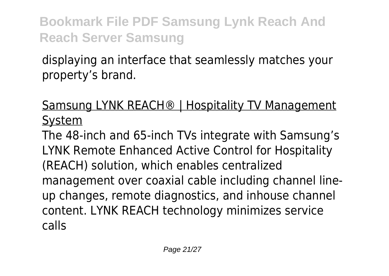displaying an interface that seamlessly matches your property's brand.

## Samsung LYNK REACH® | Hospitality TV Management System

The 48-inch and 65-inch TVs integrate with Samsung's LYNK Remote Enhanced Active Control for Hospitality (REACH) solution, which enables centralized management over coaxial cable including channel lineup changes, remote diagnostics, and inhouse channel content. LYNK REACH technology minimizes service calls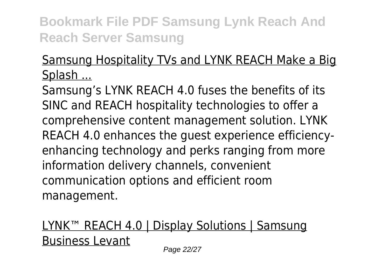## Samsung Hospitality TVs and LYNK REACH Make a Big Splash ...

Samsung's LYNK REACH 4.0 fuses the benefits of its SINC and REACH hospitality technologies to offer a comprehensive content management solution. LYNK REACH 4.0 enhances the guest experience efficiencyenhancing technology and perks ranging from more information delivery channels, convenient communication options and efficient room management.

## LYNK™ REACH 4.0 | Display Solutions | Samsung Business Levant

Page 22/27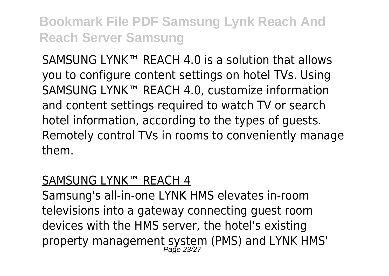SAMSUNG LYNK<sup>™</sup> REACH 4.0 is a solution that allows you to configure content settings on hotel TVs. Using SAMSUNG LYNK™ REACH 4.0, customize information and content settings required to watch TV or search hotel information, according to the types of guests. Remotely control TVs in rooms to conveniently manage them.

#### SAMSUNG LYNK™ REACH 4

Samsung's all-in-one LYNK HMS elevates in-room televisions into a gateway connecting guest room devices with the HMS server, the hotel's existing property management system (PMS) and LYNK HMS'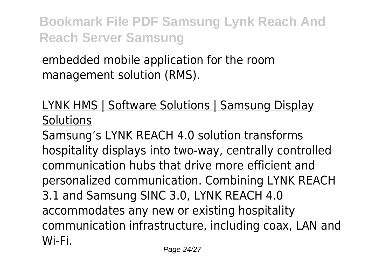embedded mobile application for the room management solution (RMS).

#### LYNK HMS | Software Solutions | Samsung Display **Solutions**

Samsung's LYNK REACH 4.0 solution transforms hospitality displays into two-way, centrally controlled communication hubs that drive more efficient and personalized communication. Combining LYNK REACH 3.1 and Samsung SINC 3.0, LYNK REACH 4.0 accommodates any new or existing hospitality communication infrastructure, including coax, LAN and Wi-Fi.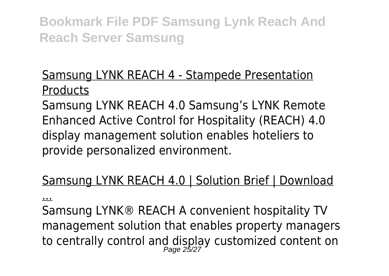#### Samsung LYNK REACH 4 - Stampede Presentation **Products**

Samsung LYNK REACH 4.0 Samsung's LYNK Remote Enhanced Active Control for Hospitality (REACH) 4.0 display management solution enables hoteliers to provide personalized environment.

#### Samsung LYNK REACH 4.0 | Solution Brief | Download

...

Samsung LYNK® REACH A convenient hospitality TV management solution that enables property managers to centrally control and display customized content on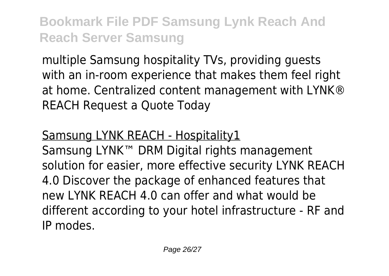multiple Samsung hospitality TVs, providing guests with an in-room experience that makes them feel right at home. Centralized content management with LYNK® REACH Request a Quote Today

#### Samsung LYNK REACH - Hospitality1

Samsung LYNK™ DRM Digital rights management solution for easier, more effective security LYNK REACH 4.0 Discover the package of enhanced features that new LYNK REACH 4.0 can offer and what would be different according to your hotel infrastructure - RF and IP modes.